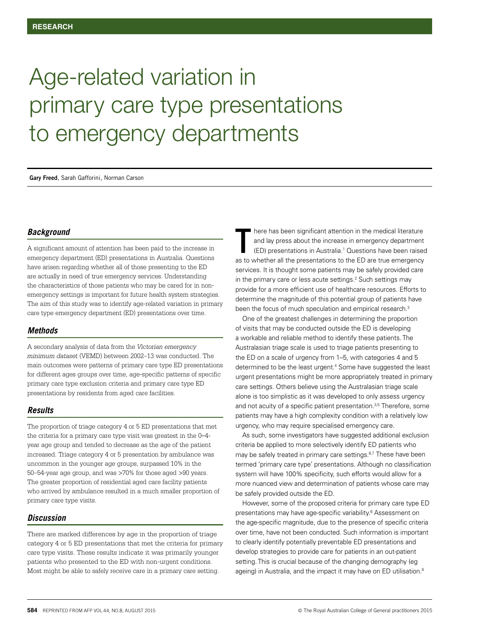# Age-related variation in primary care type presentations to emergency departments

**Gary Freed**, Sarah Gafforini, Norman Carson

#### *Background*

A significant amount of attention has been paid to the increase in emergency department (ED) presentations in Australia. Questions have arisen regarding whether all of those presenting to the ED are actually in need of true emergency services. Understanding the characteristics of those patients who may be cared for in nonemergency settings is important for future health system strategies. The aim of this study was to identify age-related variation in primary care type emergency department (ED) presentations over time.

#### *Methods*

A secondary analysis of data from the *Victorian emergency minimum dataset* (VEMD) between 2002–13 was conducted. The main outcomes were patterns of primary care type ED presentations for different ages groups over time, age-specific patterns of specific primary care type exclusion criteria and primary care type ED presentations by residents from aged care facilities.

#### *Results*

The proportion of triage category 4 or 5 ED presentations that met the criteria for a primary care type visit was greatest in the 0*–*4 year age group and tended to decrease as the age of the patient increased. Triage category 4 or 5 presentation by ambulance was uncommon in the younger age groups, surpassed 10% in the 50–54-year age group, and was >70% for those aged >90 years. The greater proportion of residential aged care facility patients who arrived by ambulance resulted in a much smaller proportion of primary care type visits.

#### *Discussion*

There are marked differences by age in the proportion of triage category 4 or 5 ED presentations that met the criteria for primary care type visits. These results indicate it was primarily younger patients who presented to the ED with non-urgent conditions. Most might be able to safely receive care in a primary care setting.

here has been significant attention in the medical literature and lay press about the increase in emergency department (ED) presentations in Australia.1 Questions have been raised as to whether all the presentations to the ED are true emergency services. It is thought some patients may be safely provided care in the primary care or less acute settings.<sup>2</sup> Such settings may provide for a more efficient use of healthcare resources. Efforts to determine the magnitude of this potential group of patients have been the focus of much speculation and empirical research.<sup>3</sup> T

One of the greatest challenges in determining the proportion of visits that may be conducted outside the ED is developing a workable and reliable method to identify these patients. The Australasian triage scale is used to triage patients presenting to the ED on a scale of urgency from 1–5, with categories 4 and 5 determined to be the least urgent.<sup>4</sup> Some have suggested the least urgent presentations might be more appropriately treated in primary care settings. Others believe using the Australasian triage scale alone is too simplistic as it was developed to only assess urgency and not acuity of a specific patient presentation.<sup>3,5</sup> Therefore, some patients may have a high complexity condition with a relatively low urgency, who may require specialised emergency care.

As such, some investigators have suggested additional exclusion criteria be applied to more selectively identify ED patients who may be safely treated in primary care settings.<sup>6,7</sup> These have been termed 'primary care type' presentations. Although no classification system will have 100% specificity, such efforts would allow for a more nuanced view and determination of patients whose care may be safely provided outside the ED.

However, some of the proposed criteria for primary care type ED presentations may have age-specific variability.<sup>6</sup> Assessment on the age-specific magnitude, due to the presence of specific criteria over time, have not been conducted. Such information is important to clearly identify potentially preventable ED presentations and develop strategies to provide care for patients in an out-patient setting. This is crucial because of the changing demography (eg ageing) in Australia, and the impact it may have on ED utilisation.<sup>8</sup>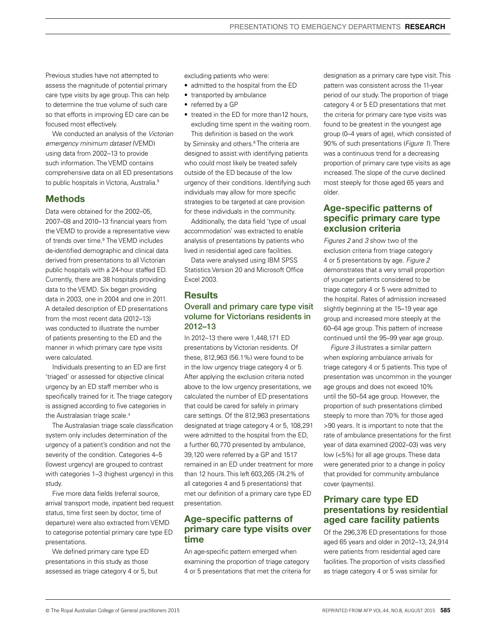Previous studies have not attempted to assess the magnitude of potential primary care type visits by age group. This can help to determine the true volume of such care so that efforts in improving ED care can be focused most effectively.

We conducted an analysis of the *Victorian emergency minimum dataset* (VEMD) using data from 2002–13 to provide such information. The VEMD contains comprehensive data on all ED presentations to public hospitals in Victoria, Australia.<sup>9</sup>

# Methods

Data were obtained for the 2002–05, 2007–08 and 2010–13 financial years from the VEMD to provide a representative view of trends over time.<sup>9</sup> The VEMD includes de-identified demographic and clinical data derived from presentations to all Victorian public hospitals with a 24-hour staffed ED. Currently, there are 38 hospitals providing data to the VEMD. Six began providing data in 2003, one in 2004 and one in 2011. A detailed description of ED presentations from the most recent data (2012–13) was conducted to illustrate the number of patients presenting to the ED and the manner in which primary care type visits were calculated.

Individuals presenting to an ED are first 'triaged' or assessed for objective clinical urgency by an ED staff member who is specifically trained for it. The triage category is assigned according to five categories in the Australasian triage scale.<sup>4</sup>

The Australasian triage scale classification system only includes determination of the urgency of a patient's condition and not the severity of the condition. Categories 4–5 (lowest urgency) are grouped to contrast with categories 1–3 (highest urgency) in this study.

Five more data fields (referral source, arrival transport mode, inpatient bed request status, time first seen by doctor, time of departure) were also extracted from VEMD to categorise potential primary care type ED presentations.

We defined primary care type ED presentations in this study as those assessed as triage category 4 or 5, but excluding patients who were:

- admitted to the hospital from the ED
- transported by ambulance
- referred by a GP
- treated in the ED for more than12 hours, excluding time spent in the waiting room.

This definition is based on the work by Siminsky and others.6 The criteria are designed to assist with identifying patients who could most likely be treated safely outside of the ED because of the low urgency of their conditions. Identifying such individuals may allow for more specific strategies to be targeted at care provision for these individuals in the community.

Additionally, the data field 'type of usual accommodation' was extracted to enable analysis of presentations by patients who lived in residential aged care facilities.

Data were analysed using IBM SPSS Statistics Version 20 and Microsoft Office Excel 2003.

## **Results**

## Overall and primary care type visit volume for Victorians residents in 2012–13

In 2012–13 there were 1,448,171 ED presentations by Victorian residents. Of these, 812,963 (56.1%) were found to be in the low urgency triage category 4 or 5. After applying the exclusion criteria noted above to the low urgency presentations, we calculated the number of ED presentations that could be cared for safely in primary care settings. Of the 812,963 presentations designated at triage category 4 or 5, 108,291 were admitted to the hospital from the ED, a further 60,770 presented by ambulance, 39,120 were referred by a GP and 1517 remained in an ED under treatment for more than 12 hours. This left 603,265 (74.2% of all categories 4 and 5 presentations) that met our definition of a primary care type ED presentation.

# Age-specific patterns of primary care type visits over time

An age-specific pattern emerged when examining the proportion of triage category 4 or 5 presentations that met the criteria for designation as a primary care type visit. This pattern was consistent across the 11-year period of our study. The proportion of triage category 4 or 5 ED presentations that met the criteria for primary care type visits was found to be greatest in the youngest age group (0–4 years of age), which consisted of 90% of such presentations (*Figure 1*). There was a continuous trend for a decreasing proportion of primary care type visits as age increased. The slope of the curve declined most steeply for those aged 65 years and older.

# Age-specific patterns of specific primary care type exclusion criteria

*Figures 2* and *3* show two of the exclusion criteria from triage category 4 or 5 presentations by age. *Figure 2* demonstrates that a very small proportion of younger patients considered to be triage category 4 or 5 were admitted to the hospital. Rates of admission increased slightly beginning at the 15–19 year age group and increased more steeply at the 60–64 age group. This pattern of increase continued until the 95–99 year age group.

*Figure 3* illustrates a similar pattern when exploring ambulance arrivals for triage category 4 or 5 patients. This type of presentation was uncommon in the younger age groups and does not exceed 10% until the 50–54 age group. However, the proportion of such presentations climbed steeply to more than 70% for those aged >90 years. It is important to note that the rate of ambulance presentations for the first year of data examined (2002–03) was very low (<5%) for all age groups. These data were generated prior to a change in policy that provided for community ambulance cover (payments).

# Primary care type ED presentations by residential aged care facility patients

Of the 296,376 ED presentations for those aged 65 years and older in 2012–13, 24,914 were patients from residential aged care facilities. The proportion of visits classified as triage category 4 or 5 was similar for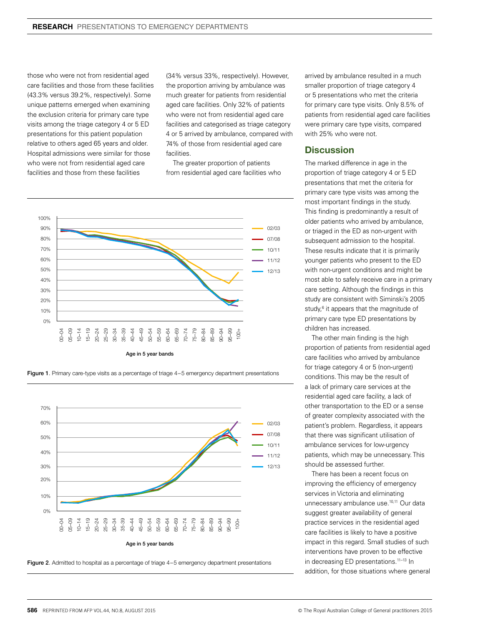those who were not from residential aged care facilities and those from these facilities (43.3% versus 39.2%, respectively). Some unique patterns emerged when examining the exclusion criteria for primary care type visits among the triage category 4 or 5 ED presentations for this patient population relative to others aged 65 years and older. Hospital admissions were similar for those who were not from residential aged care facilities and those from these facilities

(34% versus 33%, respectively). However, the proportion arriving by ambulance was much greater for patients from residential aged care facilities. Only 32% of patients who were not from residential aged care facilities and categorised as triage category 4 or 5 arrived by ambulance, compared with 74% of those from residential aged care **facilities** 

The greater proportion of patients from residential aged care facilities who









arrived by ambulance resulted in a much smaller proportion of triage category 4 or 5 presentations who met the criteria for primary care type visits. Only 8.5% of patients from residential aged care facilities were primary care type visits, compared with 25% who were not.

#### **Discussion**

The marked difference in age in the proportion of triage category 4 or 5 ED presentations that met the criteria for primary care type visits was among the most important findings in the study. This finding is predominantly a result of older patients who arrived by ambulance, or triaged in the ED as non-urgent with subsequent admission to the hospital. These results indicate that it is primarily younger patients who present to the ED with non-urgent conditions and might be most able to safely receive care in a primary care setting. Although the findings in this study are consistent with Siminski's 2005 study,<sup>6</sup> it appears that the magnitude of primary care type ED presentations by children has increased.

The other main finding is the high proportion of patients from residential aged care facilities who arrived by ambulance for triage category 4 or 5 (non-urgent) conditions. This may be the result of a lack of primary care services at the residential aged care facility, a lack of other transportation to the ED or a sense of greater complexity associated with the patient's problem. Regardless, it appears that there was significant utilisation of ambulance services for low-urgency patients, which may be unnecessary. This should be assessed further.

There has been a recent focus on improving the efficiency of emergency services in Victoria and eliminating unnecessary ambulance use.<sup>10,11</sup> Our data suggest greater availability of general practice services in the residential aged care facilities is likely to have a positive impact in this regard. Small studies of such interventions have proven to be effective in decreasing ED presentations.<sup>11-13</sup> In addition, for those situations where general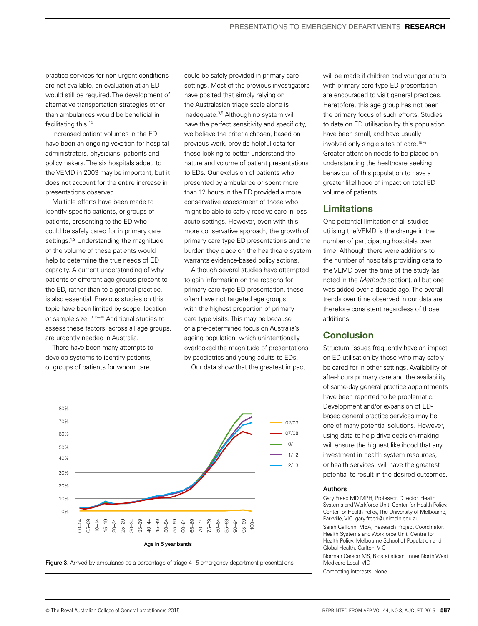practice services for non-urgent conditions are not available, an evaluation at an ED would still be required. The development of alternative transportation strategies other than ambulances would be beneficial in facilitating this.<sup>14</sup>

Increased patient volumes in the ED have been an ongoing vexation for hospital administrators, physicians, patients and policymakers. The six hospitals added to the VEMD in 2003 may be important, but it does not account for the entire increase in presentations observed.

Multiple efforts have been made to identify specific patients, or groups of patients, presenting to the ED who could be safely cared for in primary care settings.<sup>1,3</sup> Understanding the magnitude of the volume of these patients would help to determine the true needs of ED capacity. A current understanding of why patients of different age groups present to the ED, rather than to a general practice, is also essential. Previous studies on this topic have been limited by scope, location or sample size.13,15–18 Additional studies to assess these factors, across all age groups, are urgently needed in Australia.

There have been many attempts to develop systems to identify patients, or groups of patients for whom care

could be safely provided in primary care settings. Most of the previous investigators have posited that simply relying on the Australasian triage scale alone is inadequate.3,5 Although no system will have the perfect sensitivity and specificity, we believe the criteria chosen, based on previous work, provide helpful data for those looking to better understand the nature and volume of patient presentations to EDs. Our exclusion of patients who presented by ambulance or spent more than 12 hours in the ED provided a more conservative assessment of those who might be able to safely receive care in less acute settings. However, even with this more conservative approach, the growth of primary care type ED presentations and the burden they place on the healthcare system warrants evidence-based policy actions.

Although several studies have attempted to gain information on the reasons for primary care type ED presentation, these often have not targeted age groups with the highest proportion of primary care type visits. This may be because of a pre-determined focus on Australia's ageing population, which unintentionally overlooked the magnitude of presentations by paediatrics and young adults to EDs.

Our data show that the greatest impact



Figure 3. Arrived by ambulance as a percentage of triage 4-5 emergency department presentations

will be made if children and younger adults with primary care type ED presentation are encouraged to visit general practices. Heretofore, this age group has not been the primary focus of such efforts. Studies to date on ED utilisation by this population have been small, and have usually involved only single sites of care.18–21 Greater attention needs to be placed on understanding the healthcare seeking behaviour of this population to have a greater likelihood of impact on total ED volume of patients.

### Limitations

One potential limitation of all studies utilising the VEMD is the change in the number of participating hospitals over time. Although there were additions to the number of hospitals providing data to the VEMD over the time of the study (as noted in the *Methods* section), all but one was added over a decade ago. The overall trends over time observed in our data are therefore consistent regardless of those additions.

# **Conclusion**

Structural issues frequently have an impact on ED utilisation by those who may safely be cared for in other settings. Availability of after-hours primary care and the availability of same-day general practice appointments have been reported to be problematic. Development and/or expansion of EDbased general practice services may be one of many potential solutions. However, using data to help drive decision-making will ensure the highest likelihood that any investment in health system resources, or health services, will have the greatest potential to result in the desired outcomes.

#### Authors

Gary Freed MD MPH, Professor, Director, Health Systems and Workforce Unit, Center for Health Policy, Center for Health Policy, The University of Melbourne, Parkville, VIC. gary.freed@unimelb.edu.au

Sarah Gafforini MBA, Research Project Coordinator, Health Systems and Workforce Unit, Centre for Health Policy, Melbourne School of Population and Global Health, Carlton, VIC

Norman Carson MS, Biostatistican, Inner North West Medicare Local, VIC

Competing interests: None.